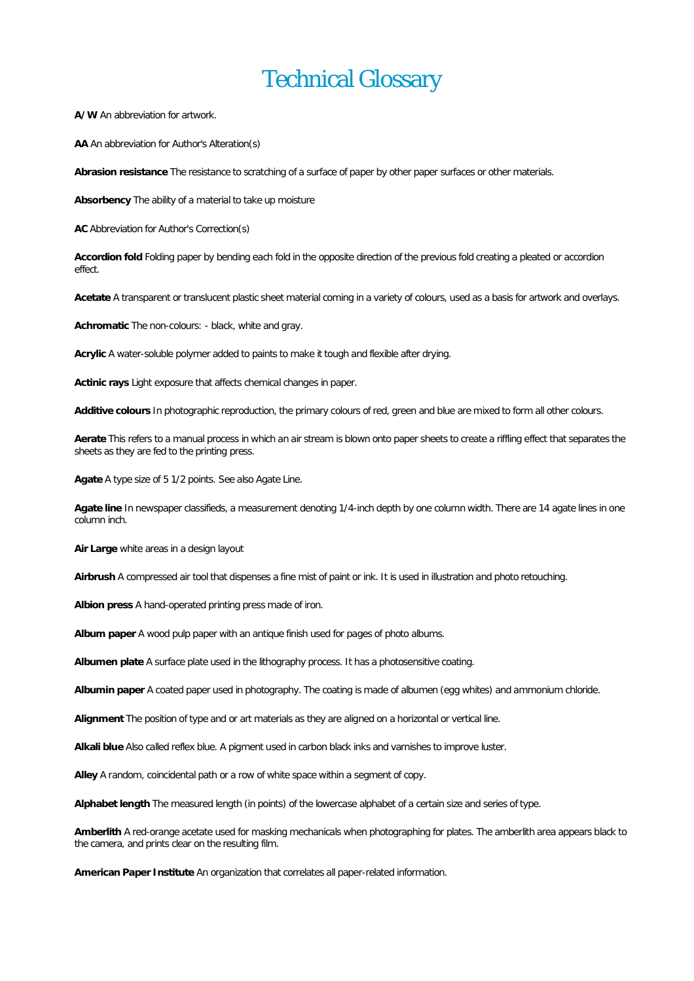## Technical Glossary

**A/W**An abbreviation for artwork.

**AA** An abbreviation for Author's Alteration(s)

**Abrasion resistance** The resistance to scratching of a surface of paper by other paper surfaces or other materials.

**Absorbency** The ability of a material to take up moisture

**AC** Abbreviation for Author's Correction(s)

**Accordion fold** Folding paper by bending each fold in the opposite direction of the previous fold creating a pleated or accordion effect.

**Acetate** A transparent or translucent plastic sheet material coming in a variety of colours, used as a basis for artwork and overlays.

**Achromatic** The non-colours: - black, white and gray.

Acrylic A water-soluble polymer added to paints to make it tough and flexible after drying.

**Actinic rays** Light exposure that affects chemical changes in paper.

Additive colours In photographic reproduction, the primary colours of red, green and blue are mixed to form all other colours.

**Aerate**This refers to a manual process in which an air stream is blown onto paper sheets to create a riffling effect that separates the sheets as they are fed to the printing press.

**Agate**A type size of 5 1/2 points. See also Agate Line.

**Agate line** In newspaper classifieds, a measurement denoting 1/4-inch depth by one column width. There are 14 agate lines in one column inch.

**Air Large** white areas in a design layout

**Airbrush** A compressed air toolthat dispenses a fine mist of paint or ink. It is used in illustration and photo retouching.

**Albion press** A hand-operated printing press made of iron.

**Album paper**A wood pulp paper with an antique finish used for pages of photo albums.

**Albumen plate** A surface plate used in the lithography process. It has a photosensitive coating.

**Albumin paper** A coated paper used in photography. The coating is made of albumen (egg whites) and ammonium chloride.

**Alignment** The position of type and or art materials as they are aligned on a horizontal or vertical line.

**Alkali blue**Also called reflex blue. A pigment used in carbon black inks and varnishes to improve luster.

Alley A random, coincidental path or a row of white space within a segment of copy.

Alphabet length The measured length (in points) of the lowercase alphabet of a certain size and series of type.

**Amberlith** A red-orange acetate used for masking mechanicals when photographing for plates. The amberlith area appears black to the camera, and prints clear on the resulting film.

**American Paper Institute** An organization that correlates all paper-related information.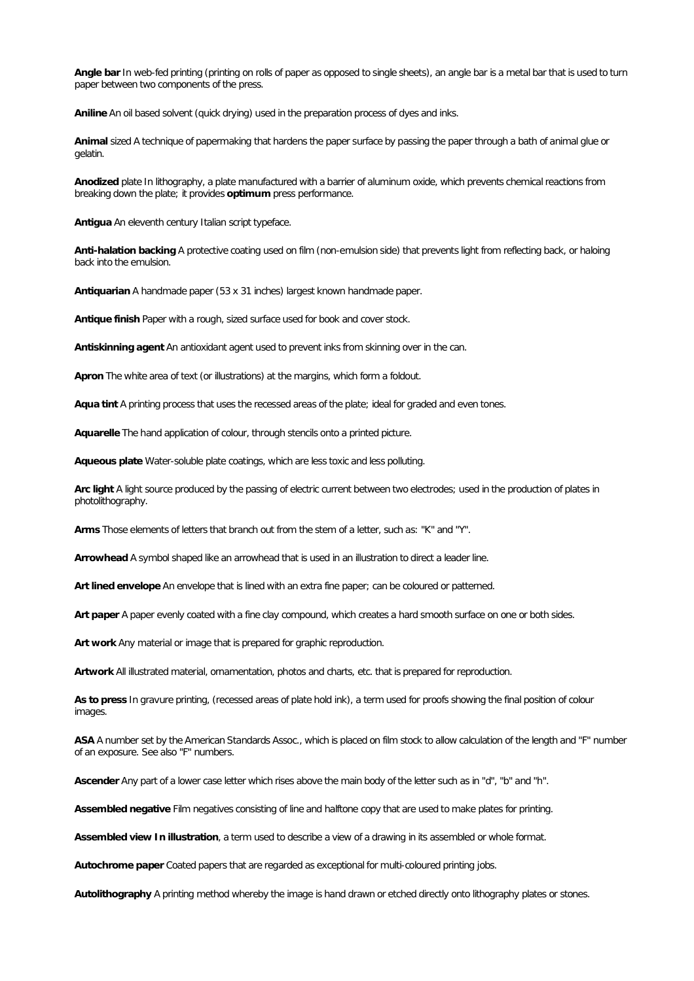**Angle bar** In web-fed printing (printing on rolls of paper as opposed to single sheets), an angle bar is a metalbar thatis used to turn paper between two components of the press.

**Aniline**An oil based solvent (quick drying) used in the preparation process of dyes and inks.

**Animal** sized A technique of papermaking that hardens the paper surface by passing the paper through a bath of animal glue or gelatin.

**Anodized** plate In lithography, a plate manufactured with a barrier of aluminum oxide, which prevents chemical reactions from breaking down the plate; it provides optimum press performance.

Antigua An eleventh century Italian script typeface.

**Anti-halation backing**A protective coating used on film (non-emulsion side) that prevents light from reflecting back, or haloing back into the emulsion.

**Antiquarian** A handmade paper (53 x 31 inches) largest known handmade paper.

Antique finish Paper with a rough, sized surface used for book and cover stock.

Antiskinning agent An antioxidant agent used to prevent inks from skinning over in the can.

Apron The white area of text (or illustrations) at the margins, which form a foldout.

**Aqua tint** A printing process that uses the recessed areas of the plate; ideal for graded and even tones.

Aquarelle The hand application of colour, through stencils onto a printed picture.

**Aqueous plate** Water-soluble plate coatings, which are less toxic and less polluting.

**Arc light** A light source produced by the passing of electric current between two electrodes; used in the production of plates in photolithography.

**Arms** Those elements of letters that branch out from the stem of a letter, such as: "K" and "Y".

**Arrowhead** A symbol shaped like an arrowhead that is used in an illustration to direct a leader line.

Art lined envelope An envelope that is lined with an extra fine paper; can be coloured or patterned.

**Art paper** A paper evenly coated with a fine clay compound, which creates a hard smooth surface on one or both sides.

Art work Any material or image that is prepared for graphic reproduction.

Artwork All illustrated material, ornamentation, photos and charts, etc. that is prepared for reproduction.

As to press In gravure printing, (recessed areas of plate hold ink), a term used for proofs showing the final position of colour images.

ASA A number set by the American Standards Assoc., which is placed on film stock to allow calculation of the length and "F" number of an exposure. See also "F" numbers.

**Ascender**Any part of a lower case letter which rises above the main body of the letter such as in "d", "b" and "h".

**Assembled negative** Film negatives consisting of line and halftone copy that are used to make plates for printing.

**Assembledview In illustration**, a term used to describe a view of a drawing in its assembled or whole format.

Autochrome paper Coated papers that are regarded as exceptional for multi-coloured printing jobs.

**Autolithography** A printing method whereby the image is hand drawn or etched directly onto lithography plates or stones.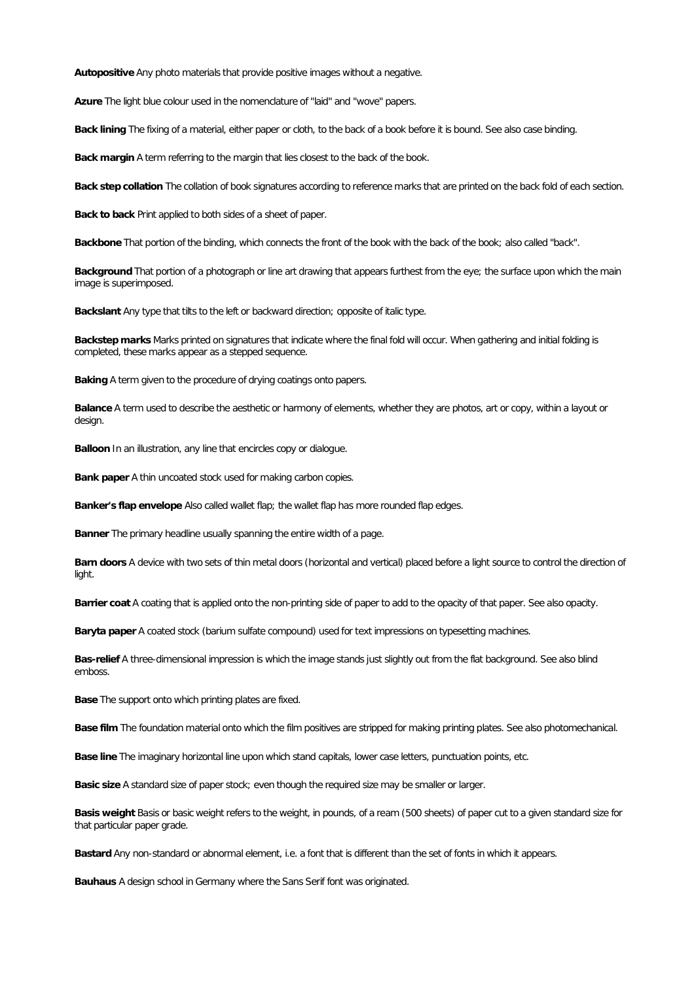**Autopositive** Any photo materials that provide positive images without a negative.

**Azure** The light blue colour used in the nomenclature of "laid" and "wove" papers.

**Back lining** The fixing of a material, either paper or cloth, to the back of a book before it is bound. See also case binding.

**Back margin** A term referring to the margin that lies closest to the back of the book.

Back step collation The collation of book signatures according to reference marks that are printed on the back fold of each section.

**Back to back** Print applied to both sides of a sheet of paper.

**Backbone** That portion of the binding, which connects the front of the book with the back of the book; also called "back".

**Background**That portion of a photograph or line art drawing that appears furthest from the eye; the surface upon which the main image is superimposed.

Backslant Any type that tilts to the left or backward direction; opposite of italic type.

**Backstep marks** Marks printed on signatures that indicate where the finalfold will occur. When gathering and initial folding is completed, these marks appear as a stepped sequence.

**Baking**A term given to the procedure of drying coatings onto papers.

**Balance**A term used to describe the aesthetic or harmony of elements, whether they are photos, art or copy, within a layout or design.

**Balloon** In an illustration, any line that encircles copy or dialogue.

**Bank paper**A thin uncoated stock used for making carbon copies.

**Banker's flap envelope** Also called wallet flap; the wallet flap has more rounded flap edges.

**Banner** The primary headline usually spanning the entire width of a page.

Barn doors A device with two sets of thin metal doors (horizontal and vertical) placed before a light source to control the direction of light.

Barrier coat A coating that is applied onto the non-printing side of paper to add to the opacity of that paper. See also opacity.

**Baryta paper**A coated stock (barium sulfate compound) used for textimpressions on typesetting machines.

**Bas-relief** A three-dimensional impression is which the image stands just slightly out from the flat background. See also blind emboss.

**Base**The support onto which printing plates are fixed.

**Basefilm**The foundation material onto which the film positives are stripped for making printing plates. See also photomechanical.

**Base line** The imaginary horizontal line upon which stand capitals, lower case letters, punctuation points, etc.

**Basic size**A standard size of paper stock; even though the required size may be smaller or larger.

Basis weight Basis or basic weight refers to the weight, in pounds, of a ream (500 sheets) of paper cut to a given standard size for that particular paper grade.

Bastard Any non-standard or abnormal element, i.e. a font that is different than the set of fonts in which it appears.

Bauhaus A design school in Germany where the Sans Serif font was originated.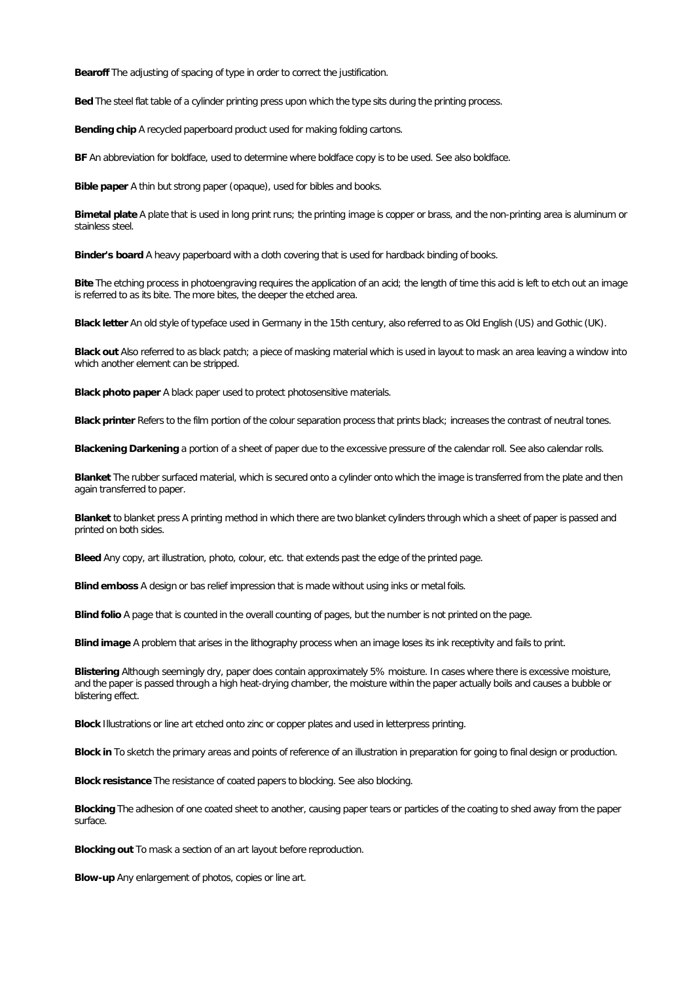**Bearoff** The adjusting of spacing of type in order to correct the justification.

Bed The steel flat table of a cylinder printing press upon which the type sits during the printing process.

**Bending chip** A recycled paperboard product used for making folding cartons.

**BF** An abbreviation for boldface, used to determine where boldface copy is to be used. See also boldface.

**Bible paper** A thin but strong paper (opaque), used for bibles and books.

**Bimetal plate**A plate that is used in long print runs; the printing image is copper or brass, and the non-printing area is aluminum or stainless steel.

**Binder's board** A heavy paperboard with a cloth covering that is used for hardback binding of books.

Bite The etching process in photoengraving requires the application of an acid; the length of time this acid is left to etch out an image is referred to as its bite. The more bites, the deeper the etched area.

**Black letter**An old style of typeface used in Germany in the 15th century, also referred to as Old English (US) and Gothic (UK).

Black out Also referred to as black patch; a piece of masking material which is used in layout to mask an area leaving a window into which another element can be stripped.

**Black photo paper A black paper used to protect photosensitive materials.** 

Black printer Refers to the film portion of the colour separation process that prints black; increases the contrast of neutral tones.

**Blackening Darkening**a portion of a sheet of paper due to the excessive pressure ofthe calendar roll. See also calendar rolls.

**Blanket** The rubber surfaced material, which is secured onto a cylinder onto which the image is transferred from the plate and then again transferred to paper.

Blanket to blanket press A printing method in which there are two blanket cylinders through which a sheet of paper is passed and printed on both sides.

**Bleed** Any copy, art illustration, photo, colour, etc. that extends past the edge of the printed page.

**Blindemboss** A design or bas relief impression that is made without using inks or metalfoils.

**Blind folio** A page that is counted in the overall counting of pages, but the number is not printed on the page.

**Blind image** A problem that arises in the lithography process when an image loses its ink receptivity and fails to print.

**Blistering** Although seemingly dry, paper does contain approximately 5% moisture. In cases where there is excessive moisture, and the paper is passed through a high heat-drying chamber, the moisture within the paper actually boils and causes a bubble or blistering effect.

**Block**Illustrations or line art etched onto zinc or copper plates and used in letterpress printing.

**Block in** To sketch the primary areas and points of reference of an illustration in preparation for going to finaldesign or production.

**Blockresistance**The resistance of coated papers to blocking. See also blocking.

Blocking The adhesion of one coated sheet to another, causing paper tears or particles of the coating to shed away from the paper surface.

**Blocking out** To mask a section of an art layout before reproduction.

**Blow-up** Any enlargement of photos, copies or line art.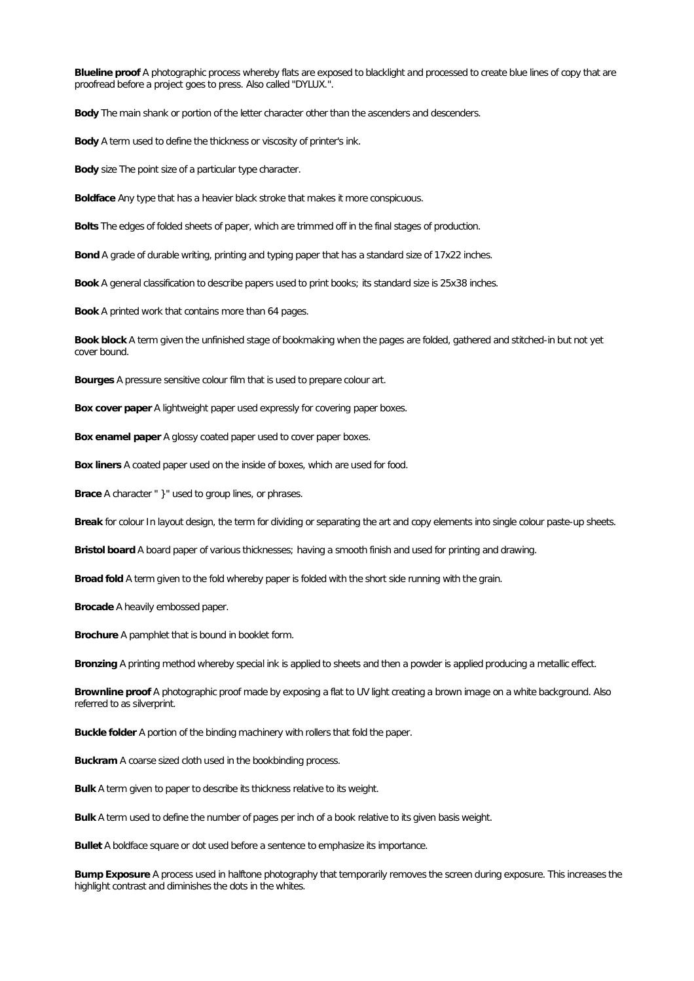**Blueline proof A photographic process whereby flats are exposed to blacklight and processed to create blue lines of copy that are** proofread before a project goes to press. Also called "DYLUX.".

**Body** The main shank or portion of the letter character other than the ascenders and descenders.

**Body** A term used to define the thickness or viscosity of printer's ink.

**Body** size The point size of a particular type character.

**Boldface** Any type that has a heavier black stroke that makes it more conspicuous.

**Bolts** The edges of folded sheets of paper, which are trimmed off in the final stages of production.

**Bond**A grade of durable writing, printing and typing paper that has a standard size of 17x22 inches.

**Book**A general classification to describe papers used to print books; its standard size is 25x38 inches.

**Book**A printed work that contains more than 64 pages.

Book block A term given the unfinished stage of bookmaking when the pages are folded, gathered and stitched-in but not yet cover bound.

**Bourges** A pressure sensitive colour film that is used to prepare colour art.

**Boxcover paper**A lightweight paper used expressly for covering paper boxes.

**Box enamel paper A glossy coated paper used to cover paper boxes.** 

**Box liners** A coated paper used on the inside of boxes, which are used for food.

**Brace**A character " }" used to group lines, or phrases.

Break for colour In layout design, the term for dividing or separating the art and copy elements into single colour paste-up sheets.

**Bristol board** A board paper of various thicknesses; having a smooth finish and used for printing and drawing.

**Broadfold** A term given to the fold whereby paper is folded with the short side running with the grain.

**Brocade** A heavily embossed paper.

**Brochure** A pamphlet that is bound in booklet form.

**Bronzing** A printing method whereby special ink is applied to sheets and then a powder is applied producing a metallic effect.

Brownline proof A photographic proof made by exposing a flat to UV light creating a brown image on a white background. Also referred to as silverprint.

Buckle folder A portion of the binding machinery with rollers that fold the paper.

**Buckram**A coarse sized cloth used in the bookbinding process.

**Bulk**A term given to paper to describe its thickness relative to its weight.

**Bulk**A term used to define the number of pages per inch of a book relative to its given basis weight.

**Bullet** A boldface square or dot used before a sentence to emphasize its importance.

Bump Exposure A process used in halftone photography that temporarily removes the screen during exposure. This increases the highlight contrast and diminishes the dots in the whites.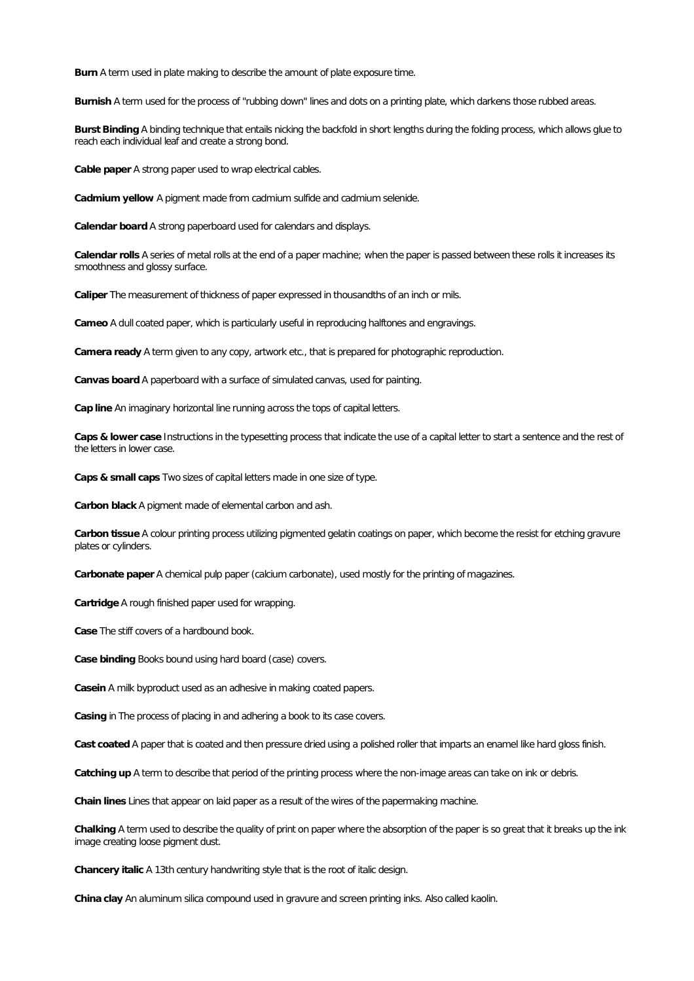**Burn** A term used in plate making to describe the amount of plate exposure time.

**Burnish** A term used for the process of "rubbing down" lines and dots on a printing plate, which darkens those rubbed areas.

**Burst Binding**A binding technique that entails nicking the backfold in short lengths during the folding process, which allows glue to reach each individual leaf and create a strong bond.

**Cable paper**A strong paper used to wrap electrical cables.

**Cadmium yellow** A pigment made from cadmium sulfide and cadmium selenide.

**Calendar board**A strong paperboard used for calendars and displays.

Calendar **rolls** A series of metal rolls at the end of a paper machine; when the paper is passed between these rolls it increases its smoothness and glossy surface.

**Caliper** The measurement of thickness of paper expressed in thousandths of an inch or mils.

**Cameo** A dull coated paper, which is particularly useful in reproducing halftones and engravings.

Camera ready A term given to any copy, artwork etc., that is prepared for photographic reproduction.

**Canvas board**A paperboard with a surface of simulated canvas, used for painting.

**Cap line** An imaginary horizontal line running across the tops of capital letters.

**Caps & lower case**Instructions in the typesetting process that indicate the use of a capital letter to start a sentence and the rest of the letters in lower case.

**Caps & small caps** Two sizes of capital letters made in one size of type.

**Carbon black** A pigment made of elemental carbon and ash.

**Carbon tissue**A colour printing process utilizing pigmented gelatin coatings on paper, which become the resist for etching gravure plates or cylinders.

**Carbonate paper**A chemical pulp paper (calcium carbonate), used mostly for the printing of magazines.

**Cartridge** A rough finished paper used for wrapping.

**Case** The stiff covers of a hardbound book.

**Case binding** Books bound using hard board (case) covers.

**Casein** A milk byproduct used as an adhesive in making coated papers.

**Casing** in The process of placing in and adhering a book to its case covers.

**Cast coated** A paper that is coated and then pressure dried using a polished roller that imparts an enamel like hard gloss finish.

**Catching up** A term to describe that period of the printing process where the non-image areas can take on ink or debris.

**Chain lines** Lines that appear on laid paper as a result of the wires of the papermaking machine.

Chalking A term used to describe the quality of print on paper where the absorption of the paper is so great that it breaks up the ink image creating loose pigment dust.

**Chancery italic** A 13th century handwriting style that is the root of italic design.

**Chinaclay** An aluminum silica compound used in gravure and screen printing inks. Also called kaolin.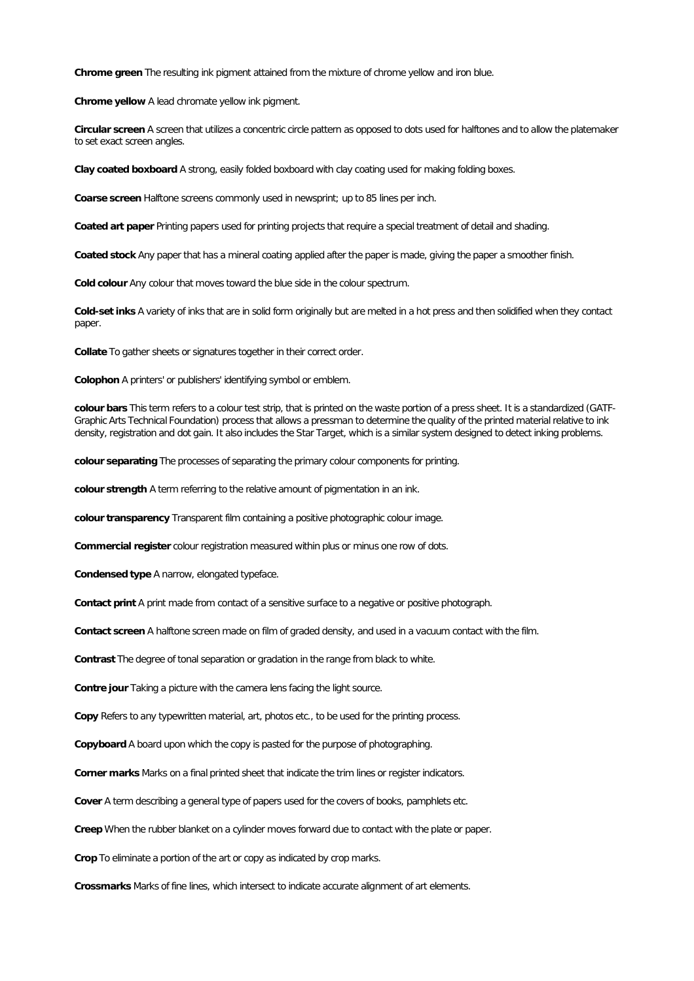**Chrome green** The resulting ink pigment attained from the mixture of chrome yellow and iron blue.

**Chrome yellow A lead chromate yellow ink pigment.** 

**Circular screen** A screen that utilizes a concentric circle pattern as opposed to dots used for halftones and to allow the platemaker to set exact screen angles.

**Clay coated boxboard** A strong, easily folded boxboard with clay coating used for making folding boxes.

Coarse screen Halftone screens commonly used in newsprint; up to 85 lines per inch.

Coated art paper Printing papers used for printing projects that require a special treatment of detail and shading.

Coated stock Any paper that has a mineral coating applied after the paper is made, giving the paper a smoother finish.

Cold colour Any colour that moves toward the blue side in the colour spectrum.

**Cold-set inks** A variety of inks that are in solid form originally but are melted in a hot press and then solidified when they contact paper.

**Collate** To gather sheets or signatures together in their correct order.

**Colophon** A printers' or publishers' identifying symbol or emblem.

colour bars This term refers to a colour test strip, that is printed on the waste portion of a press sheet. It is a standardized (GATF-Graphic Arts Technical Foundation) process that allows a pressman to determine the quality of the printed material relative to ink density, registration and dot gain. It also includes the Star Target, which is a similar system designed to detect inking problems.

**colour separating** The processes of separating the primary colour components for printing.

**colour strength** A term referring to the relative amount of pigmentation in an ink.

**colour transparency** Transparent film containing a positive photographic colour image.

**Commercial register** colour registration measured within plus or minus one row of dots.

**Condensed type** A narrow, elongated typeface.

**Contact print** A print made from contact of a sensitive surface to a negative or positive photograph.

**Contact screen** A halftone screen made on film of graded density, and used in a vacuum contact with the film.

**Contrast** The degree of tonal separation or gradation in the range from black to white.

**Contre jour Taking a picture with the camera lens facing the light source.** 

Copy Refers to any typewritten material, art, photos etc., to be used for the printing process.

**Copyboard** A board upon which the copy is pasted for the purpose of photographing.

Corner marks Marks on a final printed sheet that indicate the trim lines or register indicators.

Cover A term describing a general type of papers used for the covers of books, pamphlets etc.

**Creep** When the rubber blanket on a cylinder moves forward due to contact with the plate or paper.

**Crop** To eliminate a portion of the art or copy as indicated by crop marks.

**Crossmarks** Marks of fine lines, which intersect to indicate accurate alignment of art elements.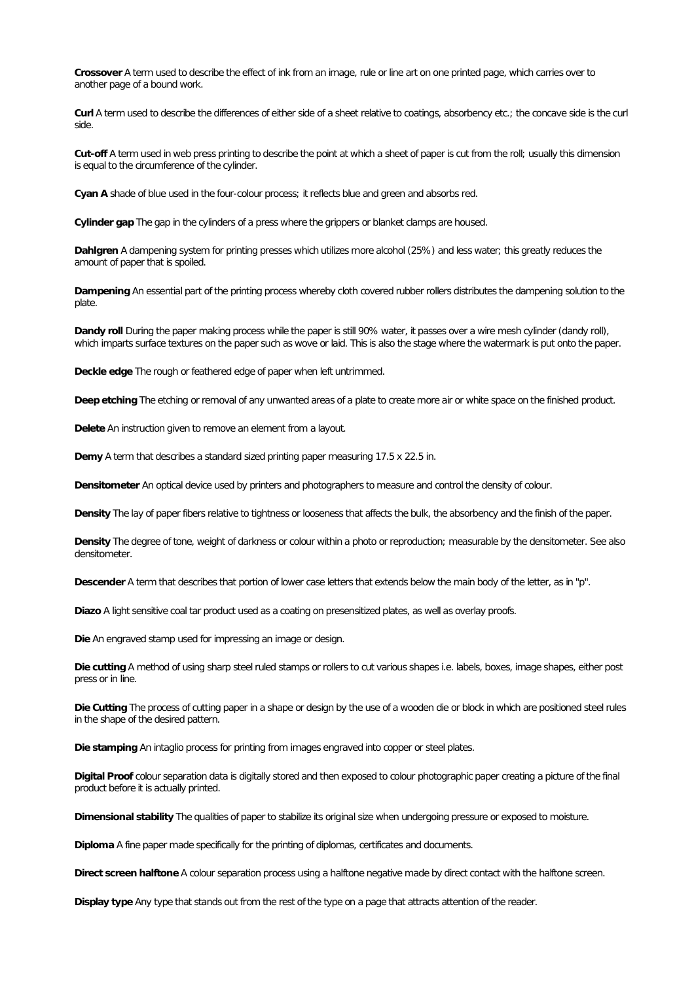**Crossover** A term used to describe the effect of ink from an image, rule or line art on one printed page, which carries over to another page of a bound work.

**Curl** A term used to describe the differences of either side of a sheet relative to coatings, absorbency etc.; the concave side is the curl side.

**Cut-off** A term used in web press printing to describe the point at which a sheet of paper is cut from the roll; usually this dimension is equal to the circumference of the cylinder.

**Cyan A** shade of blue used in the four-colour process; it reflects blue and green and absorbs red.

**Cylinder gap** The gap in the cylinders of a press where the grippers or blanket clamps are housed.

**Dahlgren** A dampening system for printing presses which utilizes more alcohol (25%) and less water; this greatly reduces the amount of paper that is spoiled.

Dampening An essential part of the printing process whereby cloth covered rubber rollers distributes the dampening solution to the plate.

**Dandy roll** During the paper making process while the paper is still 90% water, it passes over a wire mesh cylinder (dandy roll), which imparts surface textures on the paper such as wove or laid. This is also the stage where the watermark is put onto the paper.

**Deckle edge** The rough or feathered edge of paper when left untrimmed.

Deep etching The etching or removal of any unwanted areas of a plate to create more air or white space on the finished product.

**Delete** An instruction given to remove an element from a layout.

**Demy** A term that describes a standard sized printing paper measuring 17.5 x 22.5 in.

**Densitometer** An optical device used by printers and photographers to measure and controlthe density of colour.

Density The lay of paper fibers relative to tightness or looseness that affects the bulk, the absorbency and the finish of the paper.

**Density** The degree of tone, weight of darkness or colour within a photo or reproduction; measurable by the densitometer. See also densitometer.

Descender A term that describes that portion of lower case letters that extends below the main body of the letter, as in "p".

Diazo A light sensitive coal tar product used as a coating on presensitized plates, as well as overlay proofs.

**Die** An engraved stamp used for impressing an image or design.

**Diecutting** A method of using sharp steel ruled stamps or rollers to cut various shapes i.e.labels, boxes,image shapes, either post press or in line.

**Die Cutting** The process of cutting paper in a shape or design by the use of a wooden die or block in which are positioned steel rules in the shape of the desired pattern.

Die stamping An intaglio process for printing from images engraved into copper or steel plates.

**Digital Proof** colour separation data is digitally stored and then exposed to colour photographic paper creating a picture of the final product before it is actually printed.

**Dimensional stability** The qualities of paper to stabilize its original size when undergoing pressure or exposed to moisture.

**Diploma** A fine paper made specifically for the printing of diplomas, certificates and documents.

**Direct screen halftone** A colour separation process using a halftone negative made by direct contact with the halftone screen.

**Display type** Any type that stands out from the rest of the type on a page that attracts attention of the reader.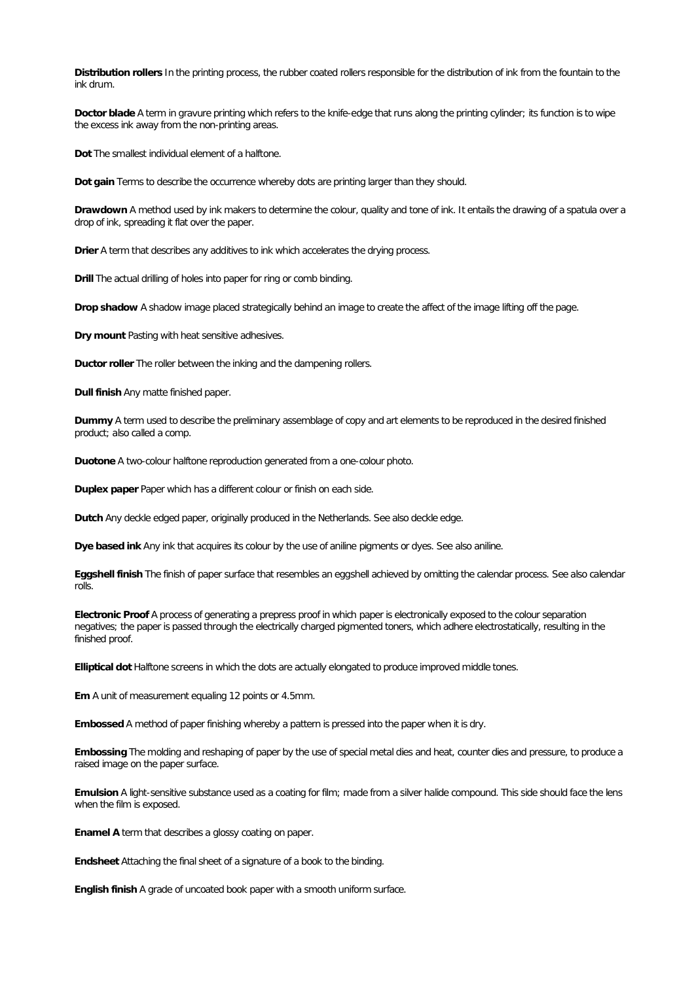Distribution rollers In the printing process, the rubber coated rollers responsible for the distribution of ink from the fountain to the ink drum.

Doctor blade A term in gravure printing which refers to the knife-edge that runs along the printing cylinder; its function is to wipe the excess ink away from the non-printing areas.

**Dot** The smallest individual element of a halftone.

**Dot gain** Terms to describe the occurrence whereby dots are printing larger than they should.

**Drawdown** A method used by ink makers to determine the colour, quality and tone of ink. It entails the drawing of a spatula over a drop of ink, spreading it flat over the paper.

**Drier** A term that describes any additives to ink which accelerates the drying process.

**Drill** The actual drilling of holes into paper for ring or comb binding.

**Dropshadow** A shadow image placed strategically behind an image to create the affect of the image lifting offthe page.

**Dry mount** Pasting with heat sensitive adhesives.

**Ductor roller** The roller between the inking and the dampening rollers.

**Dull finish** Any matte finished paper.

**Dummy** A term used to describe the preliminary assemblage of copy and art elements to be reproduced in the desired finished product; also called a comp.

**Duotone** A two-colour halftone reproduction generated from a one-colour photo.

**Duplex paper** Paper which has a different colour or finish on each side.

**Dutch** Any deckle edged paper, originally produced in the Netherlands. See also deckle edge.

**Dyebased ink** Any ink that acquires its colour by the use of aniline pigments or dyes. See also aniline.

**Eggshell finish** The finish of paper surface that resembles an eggshell achieved by omitting the calendar process. See also calendar rolls.

**Electronic Proof** A process of generating a prepress proof in which paper is electronically exposed to the colour separation negatives; the paper is passed through the electrically charged pigmented toners, which adhere electrostatically, resulting in the finished proof.

**Elliptical dot** Halftone screens in which the dots are actually elongated to produce improved middle tones.

**Em** A unit of measurement equaling 12 points or 4.5mm.

Embossed A method of paper finishing whereby a pattern is pressed into the paper when it is dry.

Embossing The molding and reshaping of paper by the use of special metal dies and heat, counter dies and pressure, to produce a raised image on the paper surface.

**Emulsion** A light-sensitive substance used as a coating for film; made from a silver halide compound. This side should face the lens when the film is exposed.

**Enamel A** term that describes a glossy coating on paper.

**Endsheet** Attaching the final sheet of a signature of a book to the binding.

**English finish** A grade of uncoated book paper with a smooth uniform surface.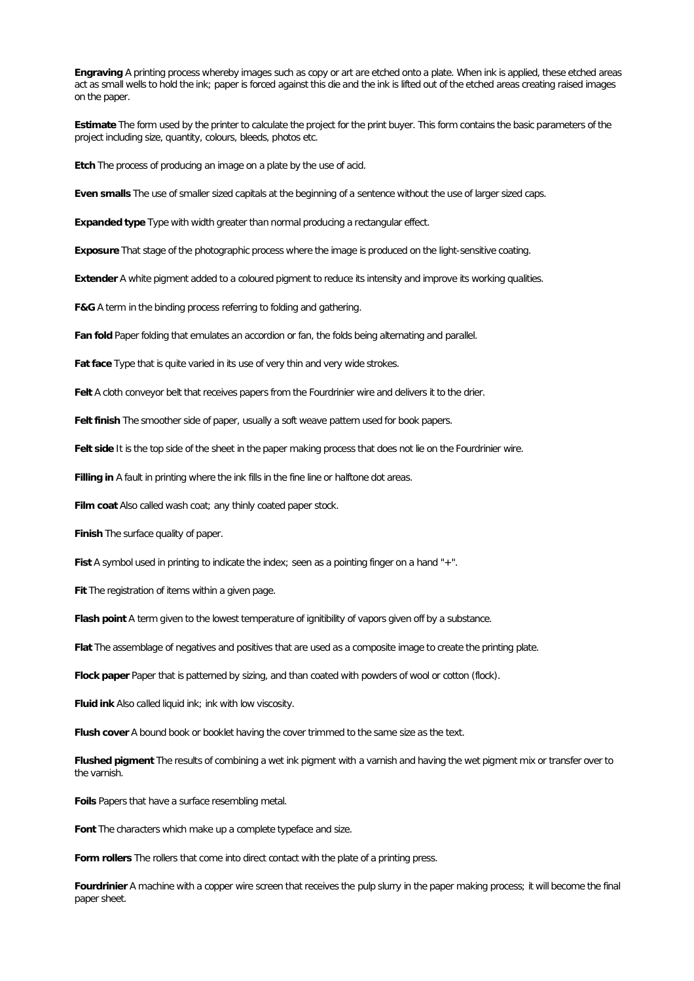**Engraving A printing process whereby images such as copy or art are etched onto a plate. When ink is applied, these etched areas** act as small wells to hold the ink; paper is forced against this die and the ink is lifted out of the etched areas creating raised images on the paper.

**Estimate** The form used by the printer to calculate the project for the print buyer. This form contains the basic parameters of the project including size, quantity, colours, bleeds, photos etc.

**Etch** The process of producing an image on a plate by the use of acid.

**Even smalls** The use of smaller sized capitals at the beginning of a sentence without the use of larger sized caps.

Expanded type Type with width greater than normal producing a rectangular effect.

**Exposure** That stage of the photographic process where the image is produced on the light-sensitive coating.

**Extender A white pigment added to a coloured pigment to reduce its intensity and improve its working qualities.** 

**F&G** A term in the binding process referring to folding and gathering.

Fan fold Paper folding that emulates an accordion or fan, the folds being alternating and parallel.

**Fat face** Type that is quite varied in its use of very thin and very wide strokes.

Felt A cloth conveyor belt that receives papers from the Fourdrinier wire and delivers it to the drier.

**Felt finish** The smoother side of paper, usually a soft weave pattern used for book papers.

**Felt side** It is the top side of the sheet in the paper making process that does not lie on the Fourdrinier wire.

**Filling in** A fault in printing where the ink fills in the fine line or halftone dot areas.

**Film coat** Also called wash coat; any thinly coated paper stock.

**Finish** The surface quality of paper.

Fist A symbol used in printing to indicate the index; seen as a pointing finger on a hand "+".

**Fit** The registration of items within a given page.

Flash point A term given to the lowest temperature of ignitibility of vapors given off by a substance.

**Flat** The assemblage of negatives and positives that are used as a composite image to create the printing plate.

Flock paper Paper that is patterned by sizing, and than coated with powders of wool or cotton (flock).

**Fluid ink** Also called liquid ink; ink with low viscosity.

**Flush cover** A bound book or booklet having the cover trimmed to the same size as the text.

**Flushed pigment** The results of combining a wet ink pigment with a varnish and having the wet pigment mix or transfer over to the varnish.

**Foils** Papers that have a surface resembling metal.

**Font** The characters which make up a complete typeface and size.

**Form rollers** The rollers that come into direct contact with the plate of a printing press.

**Fourdrinier** A machine with a copper wire screen that receives the pulp slurry in the paper making process; it willbecome the final paper sheet.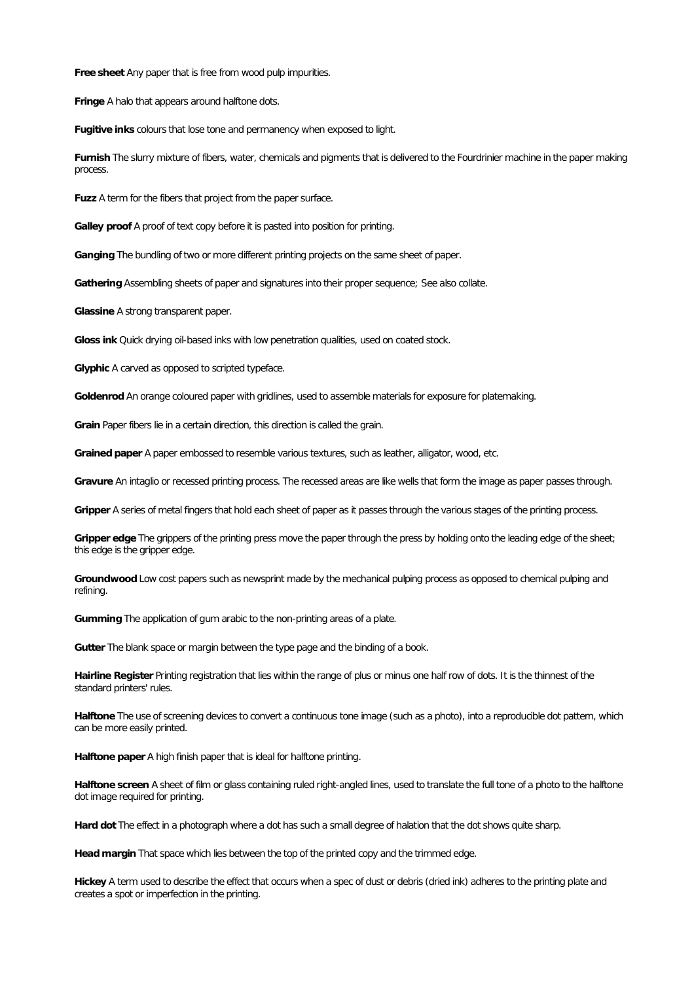**Freesheet** Any paper that is free from wood pulp impurities.

**Fringe** A halo that appears around halftone dots.

**Fugitive inks** colours that lose tone and permanency when exposed to light.

**Furnish** The slurry mixture of fibers, water, chemicals and pigments thatis delivered to the Fourdrinier machine in the paper making process.

**Fuzz** A term for the fibers that project from the paper surface.

**Galley proof** A proof of text copy before it is pasted into position for printing.

**Ganging** The bundling of two or more different printing projects on the same sheet of paper.

**Gathering**Assembling sheets of paper and signatures into their proper sequence; See also collate.

**Glassine** A strong transparent paper.

**Gloss ink** Quick drying oil-based inks with low penetration qualities, used on coated stock.

**Glyphic** A carved as opposed to scripted typeface.

**Goldenrod** An orange coloured paper with gridlines, used to assemble materials for exposure for platemaking.

Grain Paper fibers lie in a certain direction, this direction is called the grain.

Grained paper A paper embossed to resemble various textures, such as leather, alligator, wood, etc.

**Gravure** An intaglio or recessed printing process. The recessed areas are like wells that form the image as paper passes through.

**Gripper** A series of metal fingers that hold each sheet of paper as it passes through the various stages ofthe printing process.

**Gripper edge** The grippers of the printing press move the paper through the press by holding onto the leading edge of the sheet; this edge is the gripper edge.

**Groundwood** Low cost papers such as newsprint made by the mechanical pulping process as opposed to chemical pulping and refining.

**Gumming** The application of gum arabic to the non-printing areas of a plate.

**Gutter** The blank space or margin between the type page and the binding of a book.

**Hairline Register** Printing registration thatlies within the range of plus or minus one half row of dots. It is the thinnest of the standard printers' rules.

Halftone The use of screening devices to convert a continuous tone image (such as a photo), into a reproducible dot pattern, which can be more easily printed.

Halftone paper A high finish paper that is ideal for halftone printing.

Halftone screen A sheet of film or glass containing ruled right-angled lines, used to translate the full tone of a photo to the halftone dot image required for printing.

Hard dot The effect in a photograph where a dot has such a small degree of halation that the dot shows quite sharp.

**Headmargin** That space which lies between the top of the printed copy and the trimmed edge.

Hickey A term used to describe the effect that occurs when a spec of dust or debris (dried ink) adheres to the printing plate and creates a spot or imperfection in the printing.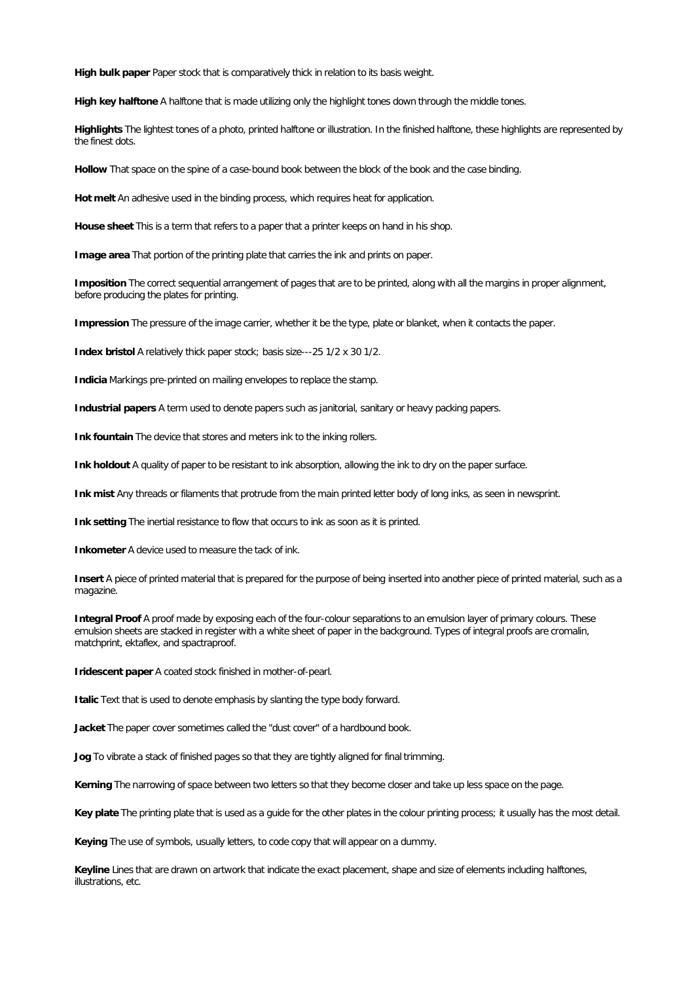**High bulk paper Paper stock that is comparatively thick in relation to its basis weight.** 

**High key halftone A halftone that is made utilizing only the highlight tones down through the middle tones.** 

Highlights The lightest tones of a photo, printed halftone or illustration. In the finished halftone, these highlights are represented by the finest dots.

**Hollow** That space on the spine of a case-bound book between the block of the book and the case binding.

**Hot melt** An adhesive used in the binding process, which requires heat for application.

House sheet This is a term that refers to a paper that a printer keeps on hand in his shop.

**Image area** That portion of the printing plate that carries the ink and prints on paper.

**Imposition** The correct sequential arrangement of pages that are to be printed, along with allthe margins in proper alignment, before producing the plates for printing.

**Impression** The pressure of the image carrier, whether it be the type, plate or blanket, when it contacts the paper.

**Index bristol** A relatively thick paper stock; basis size---25 1/2 x 30 1/2.

**Indicia** Markings pre-printed on mailing envelopes to replace the stamp.

**Industrial papers** A term used to denote papers such as janitorial, sanitary or heavy packing papers.

**Ink fountain** The device that stores and meters ink to the inking rollers.

**Ink holdout A quality of paper to be resistant to ink absorption, allowing the ink to dry on the paper surface.** 

**Ink mist** Any threads or filaments that protrude from the main printed letter body of long inks, as seen in newsprint.

Ink setting The inertial resistance to flow that occurs to ink as soon as it is printed.

**Inkometer** A device used to measure the tack of ink.

Insert A piece of printed material that is prepared for the purpose of being inserted into another piece of printed material, such as a magazine.

**Integral Proof** A proof made by exposing each of the four-colour separations to an emulsion layer of primary colours. These emulsion sheets are stacked in register with a white sheet of paper in the background. Types of integral proofs are cromalin, matchprint, ektaflex, and spactraproof.

**Iridescent paper** A coated stock finished in mother-of-pearl.

**I talic Text that is used to denote emphasis by slanting the type body forward.** 

**Jacket** The paper cover sometimes called the "dust cover" of a hardbound book.

Jog To vibrate a stack of finished pages so that they are tightly aligned for final trimming.

Kerning The narrowing of space between two letters so that they become closer and take up less space on the page.

**Key plate** The printing plate that is used as a guide for the other plates in the colour printing process; it usually has the most detail.

Keying The use of symbols, usually letters, to code copy that will appear on a dummy.

**Keyline** Lines that are drawn on artwork that indicate the exact placement, shape and size of elements including halftones, illustrations, etc.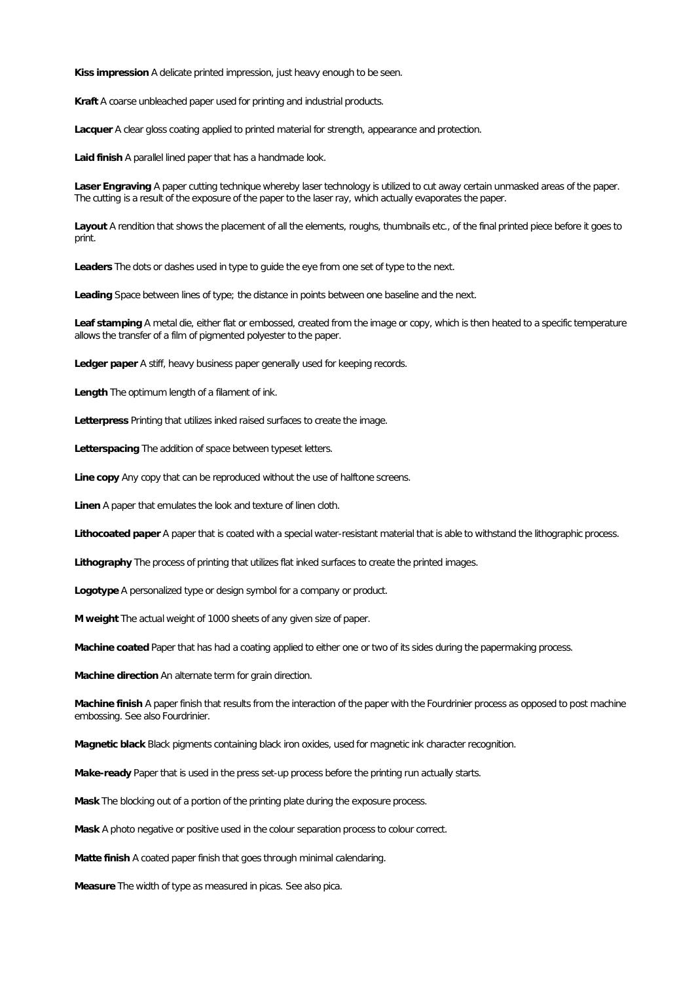Kiss impression A delicate printed impression, just heavy enough to be seen.

Kraft A coarse unbleached paper used for printing and industrial products.

**Lacquer** A clear gloss coating applied to printed material for strength, appearance and protection.

Laid finish A parallel lined paper that has a handmade look.

**Laser Engraving** A paper cutting technique whereby laser technology is utilized to cut away certain unmasked areas of the paper. The cutting is a result of the exposure of the paper to the laser ray, which actually evaporates the paper.

Layout A rendition that shows the placement of all the elements, roughs, thumbnails etc., of the final printed piece before it goes to print.

**Leaders** The dots or dashes used in type to guide the eye from one set of type to the next.

Leading Space between lines of type; the distance in points between one baseline and the next.

**Leaf stamping** A metaldie, either flat or embossed, created from the image or copy, which is then heated to a specific temperature allows the transfer of a film of pigmented polyester to the paper.

**Ledger paper**A stiff, heavy business paper generally used for keeping records.

**Length** The optimum length of a filament of ink.

**Letterpress** Printing that utilizes inked raised surfaces to create the image.

**Letterspacing** The addition of space between typeset letters.

Line copy Any copy that can be reproduced without the use of halftone screens.

**Linen** A paper that emulates the look and texture of linen cloth.

Lithocoated paper A paper that is coated with a special water-resistant material that is able to withstand the lithographic process.

**Lithography** The process of printing that utilizes flat inked surfaces to create the printed images.

**Logotype** A personalized type or design symbol for a company or product.

**M weight** The actual weight of 1000 sheets of any given size of paper.

**Machinecoated** Paper that has had a coating applied to either one or two of its sides during the papermaking process.

**Machine direction** An alternate term for grain direction.

Machine finish A paper finish that results from the interaction of the paper with the Fourdrinier process as opposed to post machine embossing. See also Fourdrinier.

**Magnetic black** Black pigments containing black iron oxides, used for magnetic ink character recognition.

**Make-ready** Paper that is used in the press set-up process before the printing run actually starts.

**Mask** The blocking out of a portion of the printing plate during the exposure process.

**Mask** A photo negative or positive used in the colour separation process to colour correct.

Matte finish A coated paper finish that goes through minimal calendaring.

**Measure** The width of type as measured in picas. See also pica.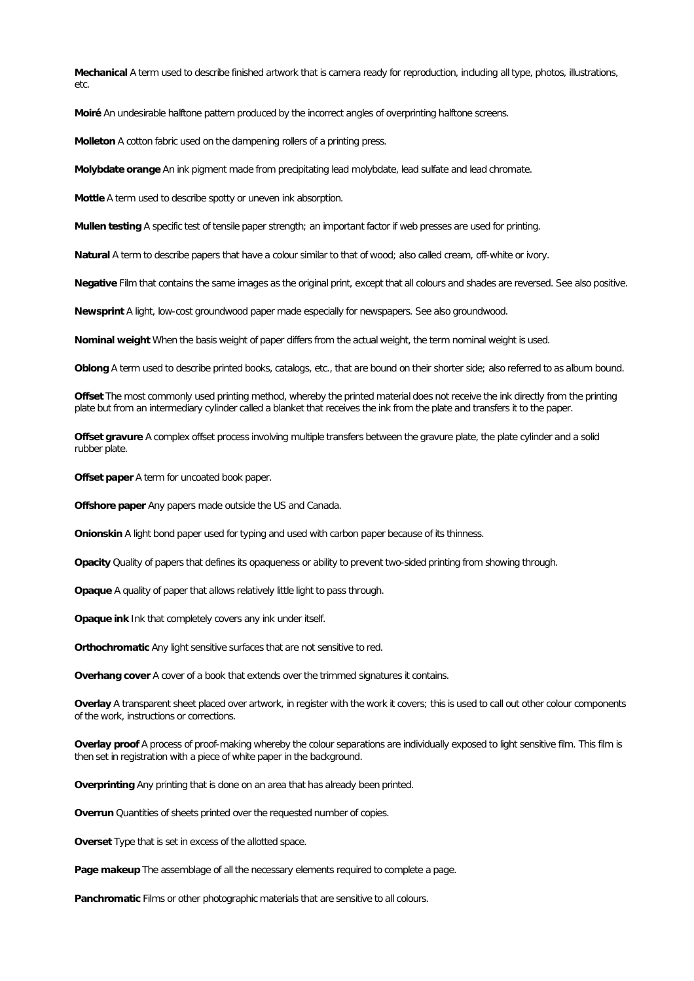**Mechanical** A term used to describe finished artwork that is camera ready for reproduction, including alltype, photos, illustrations, etc.

**Moiré** An undesirable halftone pattern produced by the incorrect angles of overprinting halftone screens.

**Molleton** A cotton fabric used on the dampening rollers of a printing press.

Molybdate orange An ink pigment made from precipitating lead molybdate, lead sulfate and lead chromate.

**Mottle** A term used to describe spotty or uneven ink absorption.

**Mullen testing** A specific test of tensile paper strength; an important factor if web presses are used for printing.

**Natural** A term to describe papers that have a colour similar to that of wood; also called cream, off-white or ivory.

**Negative**Film that contains the same images as the originalprint, exceptthat all colours and shades are reversed. See also positive.

**Newsprint** A light, low-cost groundwood paper made especially for newspapers. See also groundwood.

Nominal weight When the basis weight of paper differs from the actual weight, the term nominal weight is used.

**Oblong** A term used to describe printed books, catalogs, etc.,that are bound on their shorter side; also referred to as album bound.

**Offset** The most commonly used printing method, whereby the printed materialdoes not receive the ink directly from the printing plate but from an intermediary cylinder called a blanket that receives the ink from the plate and transfers it to the paper.

Offset gravure A complex offset process involving multiple transfers between the gravure plate, the plate cylinder and a solid rubber plate.

**Offset paper**A term for uncoated book paper.

**Offshore paper Any papers made outside the US and Canada.** 

**Onionskin** A light bond paper used for typing and used with carbon paper because of its thinness.

**Opacity** Quality of papers that defines its opaqueness or ability to prevent two-sided printing from showing through.

Opaque A quality of paper that allows relatively little light to pass through.

**Opaque ink** Ink that completely covers any ink under itself.

**Orthochromatic** Any light sensitive surfaces that are not sensitive to red.

Overhang cover A cover of a book that extends over the trimmed signatures it contains.

**Overlay** A transparent sheet placed over artwork, in register with the work it covers; this is used to call out other colour components of the work, instructions or corrections.

**Overlay proof** A process of proof-making whereby the colour separations are individually exposed to light sensitive film. This film is then set in registration with a piece of white paper in the background.

**Overprinting** Any printing that is done on an area that has already been printed.

**Overrun** Quantities of sheets printed over the requested number of copies.

**Overset** Type that is set in excess of the allotted space.

Page makeup The assemblage of all the necessary elements required to complete a page.

**Panchromatic** Films or other photographic materials that are sensitive to all colours.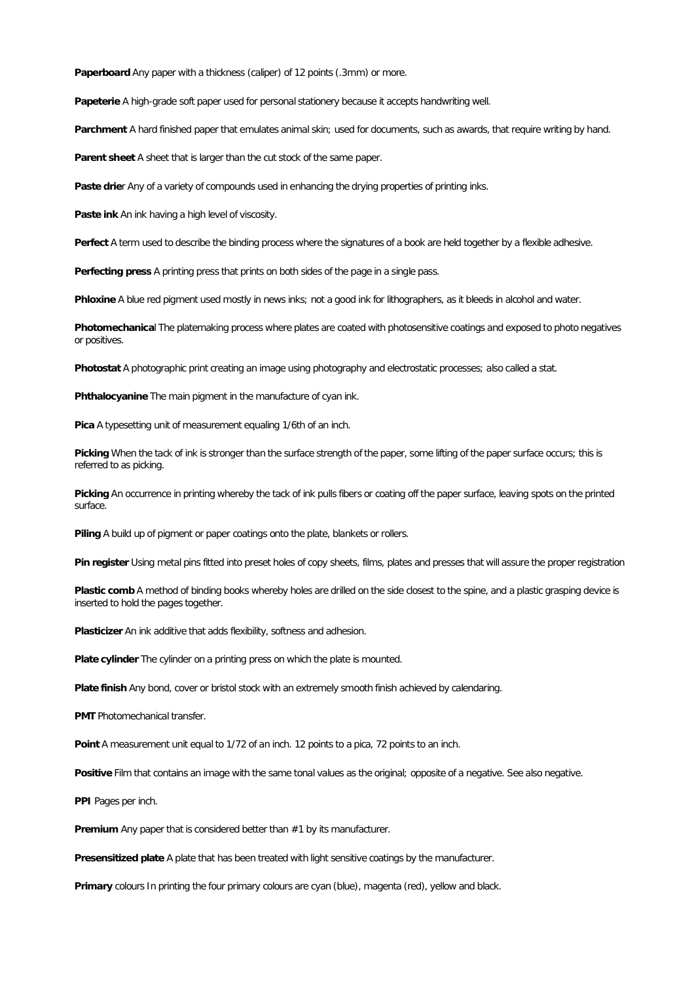**Paperboard** Any paper with a thickness (caliper) of 12 points (.3mm) or more.

**Papeterie**A high-grade soft paper used for personal stationery because it accepts handwriting well.

Parchment A hard finished paper that emulates animal skin; used for documents, such as awards, that require writing by hand.

**Parent sheet** A sheet that is larger than the cut stock of the same paper.

Paste drier Any of a variety of compounds used in enhancing the drying properties of printing inks.

**Paste ink** An ink having a high level of viscosity.

**Perfect** A term used to describe the binding process where the signatures of a book are held together by a flexible adhesive.

**Perfecting press** A printing press that prints on both sides of the page in a single pass.

**Phloxine** A blue red pigment used mostly in news inks; not a good ink for lithographers, as it bleeds in alcohol and water.

**Photomechanica**l The platemaking process where plates are coated with photosensitive coatings and exposed to photo negatives or positives.

**Photostat**A photographic print creating an image using photography and electrostatic processes; also called a stat.

**Phthalocyanine** The main pigment in the manufacture of cyan ink.

**Pica**A typesetting unit of measurement equaling 1/6th of an inch.

**Picking**When the tack of ink is stronger than the surface strength of the paper, some lifting of the paper surface occurs; this is referred to as picking.

Picking An occurrence in printing whereby the tack of ink pulls fibers or coating off the paper surface, leaving spots on the printed surface.

**Piling** A build up of pigment or paper coatings onto the plate, blankets or rollers.

Pin register Using metal pins fitted into preset holes of copy sheets, films, plates and presses that will assure the proper registration

**Plastic comb**A method of binding books whereby holes are drilled on the side closest to the spine, and a plastic grasping device is inserted to hold the pages together.

**Plasticizer** An ink additive that adds flexibility, softness and adhesion.

Plate cylinder The cylinder on a printing press on which the plate is mounted.

**Platefinish** Any bond, cover or bristol stock with an extremely smooth finish achieved by calendaring.

**PMT** Photomechanical transfer.

Point A measurement unit equal to 1/72 of an inch. 12 points to a pica, 72 points to an inch.

**Positive** Film that contains an image with the same tonal values as the original; opposite of a negative. See also negative.

**PPI** Pages per inch.

Premium Any paper that is considered better than #1 by its manufacturer.

**Presensitized plate** A plate that has been treated with light sensitive coatings by the manufacturer.

**Primary** colours In printing the four primary colours are cyan (blue), magenta (red), yellow and black.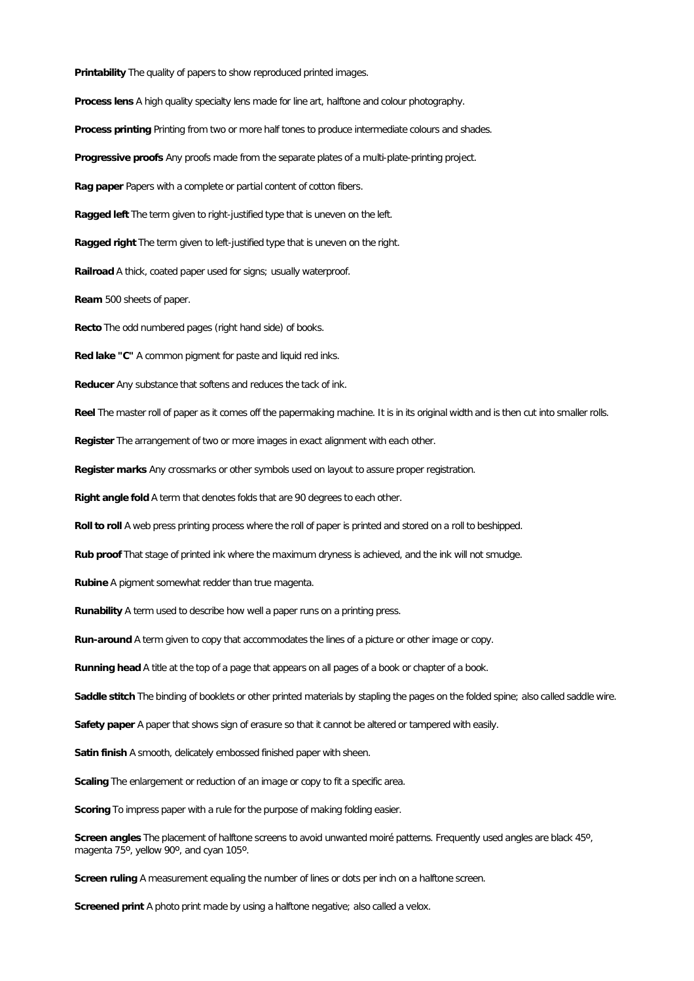**Printability** The quality of papers to show reproduced printed images.

**Process lens** A high quality specialty lens made for line art, halftone and colour photography.

Process printing Printing from two or more half tones to produce intermediate colours and shades.

**Progressive proofs** Any proofs made from the separate plates of a multi-plate-printing project.

**Ragpaper** Papers with a complete or partial content of cotton fibers.

**Raggedleft** The term given to right-justified type that is uneven on the left.

**Ragged right** The term given to left-justified type that is uneven on the right.

**Railroad**A thick, coated paper used for signs; usually waterproof.

**Ream** 500 sheets of paper.

**Recto**The odd numbered pages (right hand side) of books.

**Red lake"C"** A common pigment for paste and liquid red inks.

**Reducer** Any substance that softens and reduces the tack of ink.

Reel The master roll of paper as it comes off the papermaking machine. It is in its original width and is then cut into smaller rolls.

**Register** The arrangement of two or more images in exact alignment with each other.

Register marks Any crossmarks or other symbols used on layout to assure proper registration.

**Right angle fold A term that denotes folds that are 90 degrees to each other.** 

Roll to roll A web press printing process where the roll of paper is printed and stored on a roll to beshipped.

**Rub proof** That stage of printed ink where the maximum dryness is achieved, and the ink will not smudge.

**Rubine**A pigment somewhat redder than true magenta.

**Runability** A term used to describe how well a paper runs on a printing press.

**Run-around**A term given to copy that accommodates the lines of a picture or other image or copy.

Running head A title at the top of a page that appears on all pages of a book or chapter of a book.

**Saddlestitch** The binding of booklets or other printed materials by stapling the pages on the folded spine; also called saddle wire.

**Safety paper** A paper that shows sign of erasure so that it cannot be altered or tampered with easily.

**Satin finish** A smooth, delicately embossed finished paper with sheen.

**Scaling**The enlargement or reduction of an image or copy to fit a specific area.

**Scoring** To impress paper with a rule for the purpose of making folding easier.

**Screen angles** The placement of halftone screens to avoid unwanted moiré patterns. Frequently used angles are black 45º, magenta 75º, yellow 90º, and cyan 105º.

**Screen ruling** A measurement equaling the number of lines or dots per inch on a halftone screen.

**Screened print** A photo print made by using a halftone negative; also called a velox.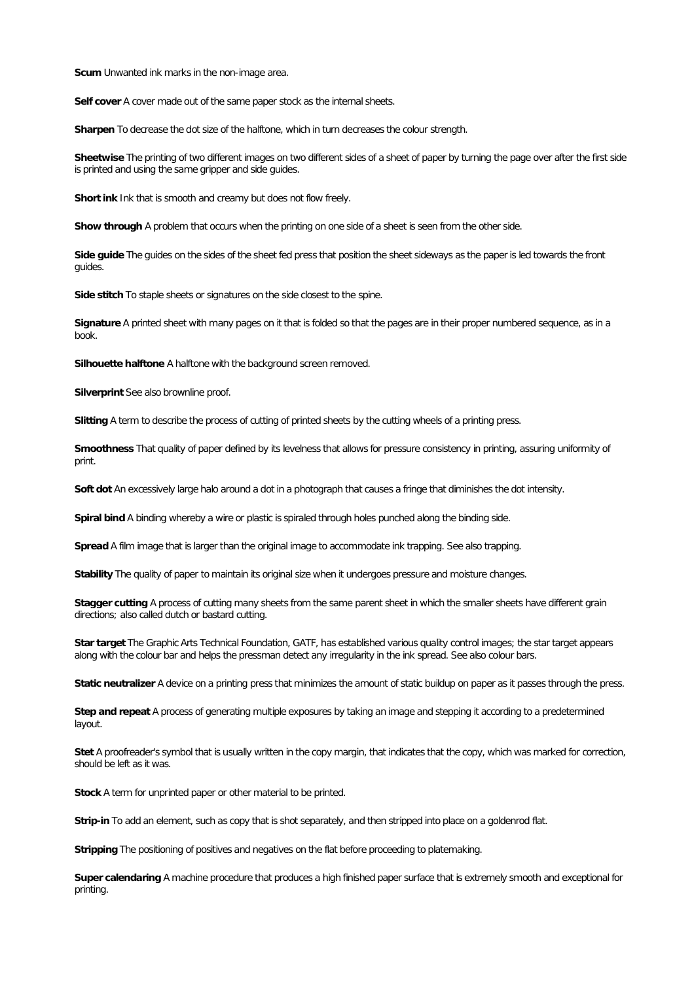**Scum**Unwanted ink marks in the non-image area.

**Self cover**A cover made out of the same paper stock as the internal sheets.

Sharpen To decrease the dot size of the halftone, which in turn decreases the colour strength.

**Sheetwise**The printing of two different images on two different sides of a sheet of paper by turning the page over after the first side is printed and using the same gripper and side guides.

**Short ink** Ink that is smooth and creamy but does not flow freely.

**Show through** A problem that occurs when the printing on one side of a sheet is seen from the other side.

Side quide The quides on the sides of the sheet fed press that position the sheet sideways as the paper is led towards the front guides.

Side stitch To staple sheets or signatures on the side closest to the spine.

Signature A printed sheet with many pages on it that is folded so that the pages are in their proper numbered sequence, as in a book.

**Silhouette halftone** A halftone with the background screen removed.

**Silverprint** See also brownline proof.

**Slitting** A term to describe the process of cutting of printed sheets by the cutting wheels of a printing press.

**Smoothness** That quality of paper defined by its levelness that allows for pressure consistency in printing, assuring uniformity of print.

**Soft dot** An excessively large halo around a dotin a photograph that causes a fringe that diminishes the dot intensity.

**Spiral bind**A binding whereby a wire or plastic is spiraled through holes punched along the binding side.

**Spread**A film image that is larger than the original image to accommodate ink trapping. See also trapping.

**Stability** The quality of paper to maintain its original size when it undergoes pressure and moisture changes.

**Stagger cutting** A process of cutting many sheets from the same parent sheet in which the smaller sheets have different grain directions; also called dutch or bastard cutting.

**Star target** The GraphicArts Technical Foundation, GATF, has established various quality control images; the star target appears along with the colour bar and helps the pressman detect any irregularity in the ink spread. See also colour bars.

**Static neutralizer**A device on a printing press that minimizes the amount of static buildup on paper as it passes through the press.

**Step and repeat** A process of generating multiple exposures by taking an image and stepping it according to a predetermined layout.

Stet A proofreader's symbol that is usually written in the copy margin, that indicates that the copy, which was marked for correction, should be left as it was.

**Stock** A term for unprinted paper or other material to be printed.

**Strip-in** To add an element, such as copy that is shot separately, and then stripped into place on a goldenrod flat.

**Stripping** The positioning of positives and negatives on the flat before proceeding to platemaking.

**Super calendaring** A machine procedure that produces a high finished paper surface that is extremely smooth and exceptional for printing.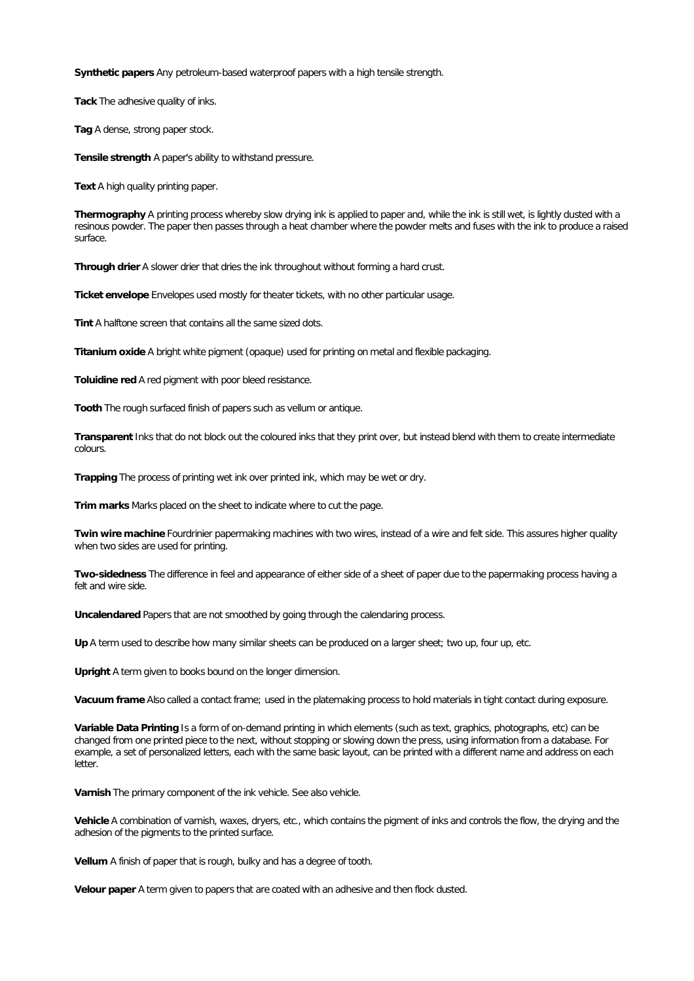**Synthetic papers** Any petroleum-based waterproof papers with a high tensile strength.

**Tack**The adhesive quality of inks.

**Tag** A dense, strong paper stock.

**Tensile strength A paper's ability to withstand pressure.** 

**Text** A high quality printing paper.

Thermography A printing process whereby slow drying ink is applied to paper and, while the ink is still wet, is lightly dusted with a resinous powder. The paper then passes through a heat chamber where the powder melts and fuses with the ink to produce a raised surface.

**Through drier**A slower drier that dries the ink throughout without forming a hard crust.

**Ticket envelope**Envelopes used mostly for theater tickets, with no other particular usage.

**Tint** A halftone screen that contains allthe same sized dots.

**Titanium oxide**A bright white pigment (opaque) used for printing on metal and flexible packaging.

**Toluidine red** A red pigment with poor bleed resistance.

**Tooth** The rough surfaced finish of papers such as vellum or antique.

Transparent Inks that do not block out the coloured inks that they print over, but instead blend with them to create intermediate colours.

**Trapping**The process of printing wet ink over printed ink, which may be wet or dry.

Trim marks Marks placed on the sheet to indicate where to cut the page.

**Twin wiremachine** Fourdrinier papermaking machines with two wires,instead of a wire and felt side. This assures higher quality when two sides are used for printing.

**Two-sidedness** The difference in feel and appearance of either side of a sheet of paper due to the papermaking process having a felt and wire side.

**Uncalendared** Papers that are not smoothed by going through the calendaring process.

**Up** A term used to describe how many similar sheets can be produced on a larger sheet; two up,four up, etc.

**Upright** A term given to books bound on the longer dimension.

**Vacuum frame** Also called a contact frame; used in the platemaking process to hold materials in tight contact during exposure.

**Variable Data Printing** Is a form of on-demand printing in which elements (such as text, graphics, photographs, etc) can be changed from one printed piece to the next, without stopping or slowing down the press, using information from a database. For example, a set of personalized letters, each with the same basic layout, can be printed with a different name and address on each letter.

Varnish The primary component of the ink vehicle. See also vehicle.

Vehicle A combination of varnish, waxes, dryers, etc., which contains the pigment of inks and controls the flow, the drying and the adhesion of the pigments to the printed surface.

Vellum A finish of paper that is rough, bulky and has a degree of tooth.

**Velour paper**A term given to papers that are coated with an adhesive and then flock dusted.